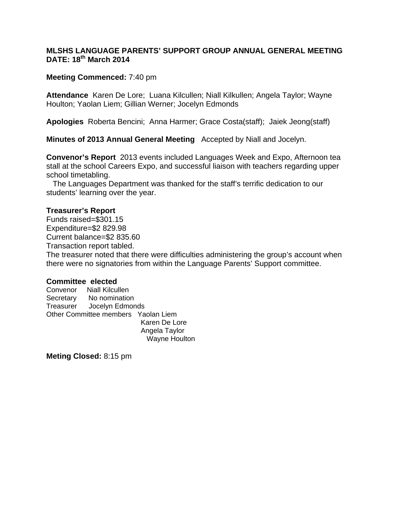## **MLSHS LANGUAGE PARENTS' SUPPORT GROUP ANNUAL GENERAL MEETING DATE: 18th March 2014**

## **Meeting Commenced:** 7:40 pm

**Attendance** Karen De Lore; Luana Kilcullen; Niall Kilkullen; Angela Taylor; Wayne Houlton; Yaolan Liem; Gillian Werner; Jocelyn Edmonds

**Apologies** Roberta Bencini; Anna Harmer; Grace Costa(staff); Jaiek Jeong(staff)

**Minutes of 2013 Annual General Meeting** Accepted by Niall and Jocelyn.

**Convenor's Report** 2013 events included Languages Week and Expo, Afternoon tea stall at the school Careers Expo, and successful liaison with teachers regarding upper school timetabling.

 The Languages Department was thanked for the staff's terrific dedication to our students' learning over the year.

## **Treasurer's Report**

Funds raised=\$301.15 Expenditure=\$2 829.98 Current balance=\$2 835.60

Transaction report tabled.

The treasurer noted that there were difficulties administering the group's account when there were no signatories from within the Language Parents' Support committee.

## **Committee elected**

 Wayne Houlton Convenor Niall Kilcullen Secretary No nomination Treasurer Jocelyn Edmonds Other Committee members Yaolan Liem Karen De Lore Angela Taylor

**Meting Closed:** 8:15 pm